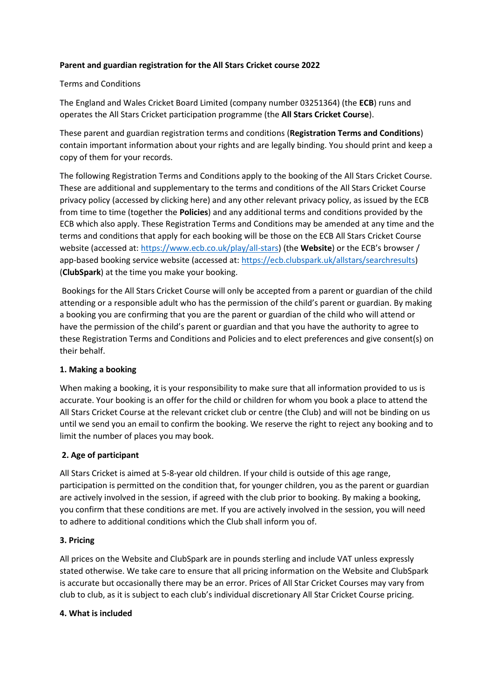## **Parent and guardian registration for the All Stars Cricket course 2022**

## Terms and Conditions

The England and Wales Cricket Board Limited (company number 03251364) (the **ECB**) runs and operates the All Stars Cricket participation programme (the **All Stars Cricket Course**).

These parent and guardian registration terms and conditions (**Registration Terms and Conditions**) contain important information about your rights and are legally binding. You should print and keep a copy of them for your records.

The following Registration Terms and Conditions apply to the booking of the All Stars Cricket Course. These are additional and supplementary to the terms and conditions of the All Stars Cricket Course privacy policy (accessed by clicking here) and any other relevant privacy policy, as issued by the ECB from time to time (together the **Policies**) and any additional terms and conditions provided by the ECB which also apply. These Registration Terms and Conditions may be amended at any time and the terms and conditions that apply for each booking will be those on the ECB All Stars Cricket Course website (accessed at[: https://www.ecb.co.uk/play/all-stars\)](https://www.ecb.co.uk/play/all-stars) (the **Website**) or the ECB's browser / app-based booking service website (accessed at: [https://ecb.clubspark.uk/allstars/searchresults\)](https://ecb.clubspark.uk/allstars/searchresults) (**ClubSpark**) at the time you make your booking.

Bookings for the All Stars Cricket Course will only be accepted from a parent or guardian of the child attending or a responsible adult who has the permission of the child's parent or guardian. By making a booking you are confirming that you are the parent or guardian of the child who will attend or have the permission of the child's parent or guardian and that you have the authority to agree to these Registration Terms and Conditions and Policies and to elect preferences and give consent(s) on their behalf.

## **1. Making a booking**

When making a booking, it is your responsibility to make sure that all information provided to us is accurate. Your booking is an offer for the child or children for whom you book a place to attend the All Stars Cricket Course at the relevant cricket club or centre (the Club) and will not be binding on us until we send you an email to confirm the booking. We reserve the right to reject any booking and to limit the number of places you may book.

## **2. Age of participant**

All Stars Cricket is aimed at 5-8-year old children. If your child is outside of this age range, participation is permitted on the condition that, for younger children, you as the parent or guardian are actively involved in the session, if agreed with the club prior to booking. By making a booking, you confirm that these conditions are met. If you are actively involved in the session, you will need to adhere to additional conditions which the Club shall inform you of.

## **3. Pricing**

All prices on the Website and ClubSpark are in pounds sterling and include VAT unless expressly stated otherwise. We take care to ensure that all pricing information on the Website and ClubSpark is accurate but occasionally there may be an error. Prices of All Star Cricket Courses may vary from club to club, as it is subject to each club's individual discretionary All Star Cricket Course pricing.

## **4. What is included**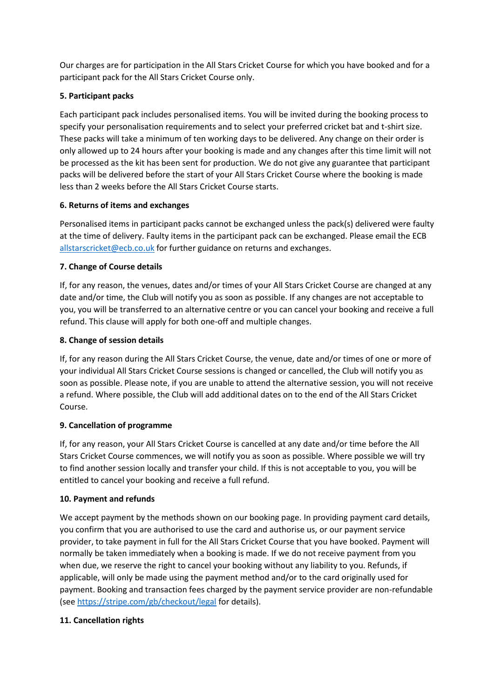Our charges are for participation in the All Stars Cricket Course for which you have booked and for a participant pack for the All Stars Cricket Course only.

## **5. Participant packs**

Each participant pack includes personalised items. You will be invited during the booking process to specify your personalisation requirements and to select your preferred cricket bat and t-shirt size. These packs will take a minimum of ten working days to be delivered. Any change on their order is only allowed up to 24 hours after your booking is made and any changes after this time limit will not be processed as the kit has been sent for production. We do not give any guarantee that participant packs will be delivered before the start of your All Stars Cricket Course where the booking is made less than 2 weeks before the All Stars Cricket Course starts.

## **6. Returns of items and exchanges**

Personalised items in participant packs cannot be exchanged unless the pack(s) delivered were faulty at the time of delivery. Faulty items in the participant pack can be exchanged. Please email the ECB [allstarscricket@ecb.co.uk](mailto:allstarscricket@ecb.co.uk) for further guidance on returns and exchanges.

# **7. Change of Course details**

If, for any reason, the venues, dates and/or times of your All Stars Cricket Course are changed at any date and/or time, the Club will notify you as soon as possible. If any changes are not acceptable to you, you will be transferred to an alternative centre or you can cancel your booking and receive a full refund. This clause will apply for both one-off and multiple changes.

# **8. Change of session details**

If, for any reason during the All Stars Cricket Course, the venue, date and/or times of one or more of your individual All Stars Cricket Course sessions is changed or cancelled, the Club will notify you as soon as possible. Please note, if you are unable to attend the alternative session, you will not receive a refund. Where possible, the Club will add additional dates on to the end of the All Stars Cricket Course.

## **9. Cancellation of programme**

If, for any reason, your All Stars Cricket Course is cancelled at any date and/or time before the All Stars Cricket Course commences, we will notify you as soon as possible. Where possible we will try to find another session locally and transfer your child. If this is not acceptable to you, you will be entitled to cancel your booking and receive a full refund.

## **10. Payment and refunds**

We accept payment by the methods shown on our booking page. In providing payment card details, you confirm that you are authorised to use the card and authorise us, or our payment service provider, to take payment in full for the All Stars Cricket Course that you have booked. Payment will normally be taken immediately when a booking is made. If we do not receive payment from you when due, we reserve the right to cancel your booking without any liability to you. Refunds, if applicable, will only be made using the payment method and/or to the card originally used for payment. Booking and transaction fees charged by the payment service provider are non-refundable (see<https://stripe.com/gb/checkout/legal> for details).

## **11. Cancellation rights**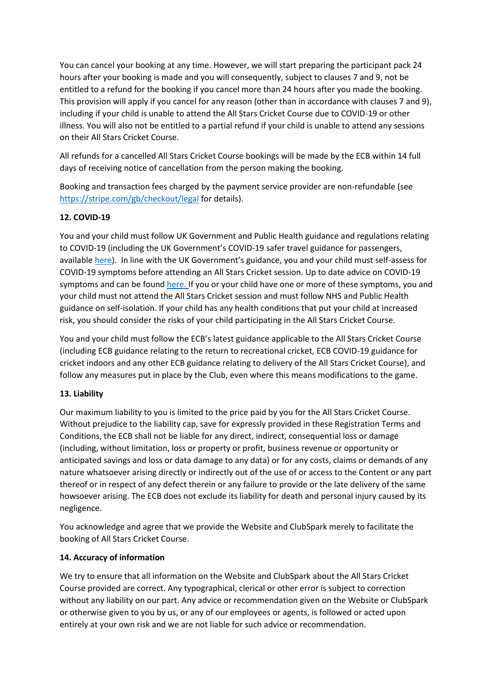You can cancel your booking at any time. However, we will start preparing the participant pack 24 hours after your booking is made and you will consequently, subject to clauses 7 and 9, not be entitled to a refund for the booking if you cancel more than 24 hours after you made the booking. This provision will apply if you cancel for any reason (other than in accordance with clauses 7 and 9), including if your child is unable to attend the All Stars Cricket Course due to COVID-19 or other illness. You will also not be entitled to a partial refund if your child is unable to attend any sessions on their All Stars Cricket Course.

All refunds for a cancelled All Stars Cricket Course bookings will be made by the ECB within 14 full days of receiving notice of cancellation from the person making the booking.

Booking and transaction fees charged by the payment service provider are non-refundable (see <https://stripe.com/gb/checkout/legal> for details).

## **12. COVID-19**

You and your child must follow UK Government and Public Health guidance and regulations relating to COVID-19 (including the UK Government's COVID-19 safer travel guidance for passengers, available [here\)](https://www.gov.uk/guidance/coronavirus-covid-19-safer-travel-guidance-for-passengers). In line with the UK Government's guidance, you and your child must self-assess for COVID-19 symptoms before attending an All Stars Cricket session. Up to date advice on COVID-19 symptoms and can be found [here.](https://www.nhs.uk/conditions/coronavirus-covid-19/) If you or your child have one or more of these symptoms, you and your child must not attend the All Stars Cricket session and must follow NHS and Public Health guidance on self-isolation. If your child has any health conditions that put your child at increased risk, you should consider the risks of your child participating in the All Stars Cricket Course.

You and your child must follow the ECB's latest guidance applicable to the All Stars Cricket Course (including ECB guidance relating to the return to recreational cricket, ECB COVID-19 guidance for cricket indoors and any other ECB guidance relating to delivery of the All Stars Cricket Course), and follow any measures put in place by the Club, even where this means modifications to the game.

## **13. Liability**

Our maximum liability to you is limited to the price paid by you for the All Stars Cricket Course. Without prejudice to the liability cap, save for expressly provided in these Registration Terms and Conditions, the ECB shall not be liable for any direct, indirect, consequential loss or damage (including, without limitation, loss or property or profit, business revenue or opportunity or anticipated savings and loss or data damage to any data) or for any costs, claims or demands of any nature whatsoever arising directly or indirectly out of the use of or access to the Content or any part thereof or in respect of any defect therein or any failure to provide or the late delivery of the same howsoever arising. The ECB does not exclude its liability for death and personal injury caused by its negligence.

You acknowledge and agree that we provide the Website and ClubSpark merely to facilitate the booking of All Stars Cricket Course.

## **14. Accuracy of information**

We try to ensure that all information on the Website and ClubSpark about the All Stars Cricket Course provided are correct. Any typographical, clerical or other error is subject to correction without any liability on our part. Any advice or recommendation given on the Website or ClubSpark or otherwise given to you by us, or any of our employees or agents, is followed or acted upon entirely at your own risk and we are not liable for such advice or recommendation.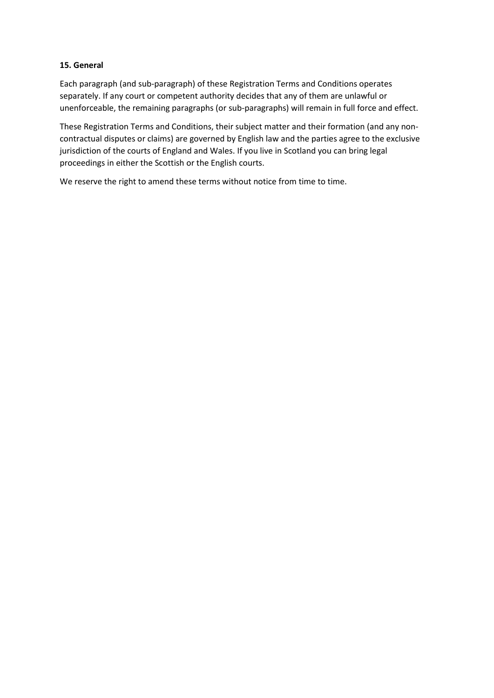### **15. General**

Each paragraph (and sub-paragraph) of these Registration Terms and Conditions operates separately. If any court or competent authority decides that any of them are unlawful or unenforceable, the remaining paragraphs (or sub-paragraphs) will remain in full force and effect.

These Registration Terms and Conditions, their subject matter and their formation (and any noncontractual disputes or claims) are governed by English law and the parties agree to the exclusive jurisdiction of the courts of England and Wales. If you live in Scotland you can bring legal proceedings in either the Scottish or the English courts.

We reserve the right to amend these terms without notice from time to time.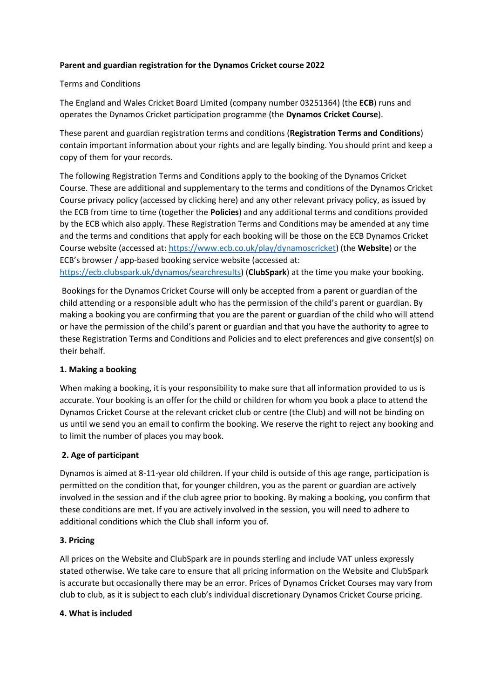### **Parent and guardian registration for the Dynamos Cricket course 2022**

### Terms and Conditions

The England and Wales Cricket Board Limited (company number 03251364) (the **ECB**) runs and operates the Dynamos Cricket participation programme (the **Dynamos Cricket Course**).

These parent and guardian registration terms and conditions (**Registration Terms and Conditions**) contain important information about your rights and are legally binding. You should print and keep a copy of them for your records.

The following Registration Terms and Conditions apply to the booking of the Dynamos Cricket Course. These are additional and supplementary to the terms and conditions of the Dynamos Cricket Course privacy policy (accessed by clicking here) and any other relevant privacy policy, as issued by the ECB from time to time (together the **Policies**) and any additional terms and conditions provided by the ECB which also apply. These Registration Terms and Conditions may be amended at any time and the terms and conditions that apply for each booking will be those on the ECB Dynamos Cricket Course website (accessed at: [https://www.ecb.co.uk/play/dynamoscricket\)](https://www.ecb.co.uk/play/dynamoscricket) (the **Website**) or the ECB's browser / app-based booking service website (accessed at: [https://ecb.clubspark.uk/dynamos/searchresults\)](https://ecb.clubspark.uk/dynamos/searchresults) (**ClubSpark**) at the time you make your booking.

Bookings for the Dynamos Cricket Course will only be accepted from a parent or guardian of the child attending or a responsible adult who has the permission of the child's parent or guardian. By making a booking you are confirming that you are the parent or guardian of the child who will attend or have the permission of the child's parent or guardian and that you have the authority to agree to these Registration Terms and Conditions and Policies and to elect preferences and give consent(s) on their behalf.

## **1. Making a booking**

When making a booking, it is your responsibility to make sure that all information provided to us is accurate. Your booking is an offer for the child or children for whom you book a place to attend the Dynamos Cricket Course at the relevant cricket club or centre (the Club) and will not be binding on us until we send you an email to confirm the booking. We reserve the right to reject any booking and to limit the number of places you may book.

## **2. Age of participant**

Dynamos is aimed at 8-11-year old children. If your child is outside of this age range, participation is permitted on the condition that, for younger children, you as the parent or guardian are actively involved in the session and if the club agree prior to booking. By making a booking, you confirm that these conditions are met. If you are actively involved in the session, you will need to adhere to additional conditions which the Club shall inform you of.

#### **3. Pricing**

All prices on the Website and ClubSpark are in pounds sterling and include VAT unless expressly stated otherwise. We take care to ensure that all pricing information on the Website and ClubSpark is accurate but occasionally there may be an error. Prices of Dynamos Cricket Courses may vary from club to club, as it is subject to each club's individual discretionary Dynamos Cricket Course pricing.

#### **4. What is included**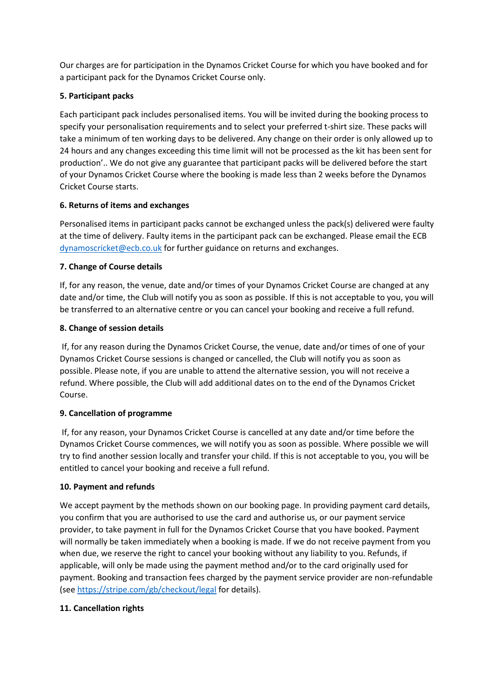Our charges are for participation in the Dynamos Cricket Course for which you have booked and for a participant pack for the Dynamos Cricket Course only.

## **5. Participant packs**

Each participant pack includes personalised items. You will be invited during the booking process to specify your personalisation requirements and to select your preferred t-shirt size. These packs will take a minimum of ten working days to be delivered. Any change on their order is only allowed up to 24 hours and any changes exceeding this time limit will not be processed as the kit has been sent for production'.. We do not give any guarantee that participant packs will be delivered before the start of your Dynamos Cricket Course where the booking is made less than 2 weeks before the Dynamos Cricket Course starts.

## **6. Returns of items and exchanges**

Personalised items in participant packs cannot be exchanged unless the pack(s) delivered were faulty at the time of delivery. Faulty items in the participant pack can be exchanged. Please email the ECB [dynamoscricket@ecb.co.uk](mailto:dynamoscricket@ecb.co.uk) for further guidance on returns and exchanges.

# **7. Change of Course details**

If, for any reason, the venue, date and/or times of your Dynamos Cricket Course are changed at any date and/or time, the Club will notify you as soon as possible. If this is not acceptable to you, you will be transferred to an alternative centre or you can cancel your booking and receive a full refund.

## **8. Change of session details**

If, for any reason during the Dynamos Cricket Course, the venue, date and/or times of one of your Dynamos Cricket Course sessions is changed or cancelled, the Club will notify you as soon as possible. Please note, if you are unable to attend the alternative session, you will not receive a refund. Where possible, the Club will add additional dates on to the end of the Dynamos Cricket Course.

## **9. Cancellation of programme**

If, for any reason, your Dynamos Cricket Course is cancelled at any date and/or time before the Dynamos Cricket Course commences, we will notify you as soon as possible. Where possible we will try to find another session locally and transfer your child. If this is not acceptable to you, you will be entitled to cancel your booking and receive a full refund.

## **10. Payment and refunds**

We accept payment by the methods shown on our booking page. In providing payment card details, you confirm that you are authorised to use the card and authorise us, or our payment service provider, to take payment in full for the Dynamos Cricket Course that you have booked. Payment will normally be taken immediately when a booking is made. If we do not receive payment from you when due, we reserve the right to cancel your booking without any liability to you. Refunds, if applicable, will only be made using the payment method and/or to the card originally used for payment. Booking and transaction fees charged by the payment service provider are non-refundable (see<https://stripe.com/gb/checkout/legal> for details).

## **11. Cancellation rights**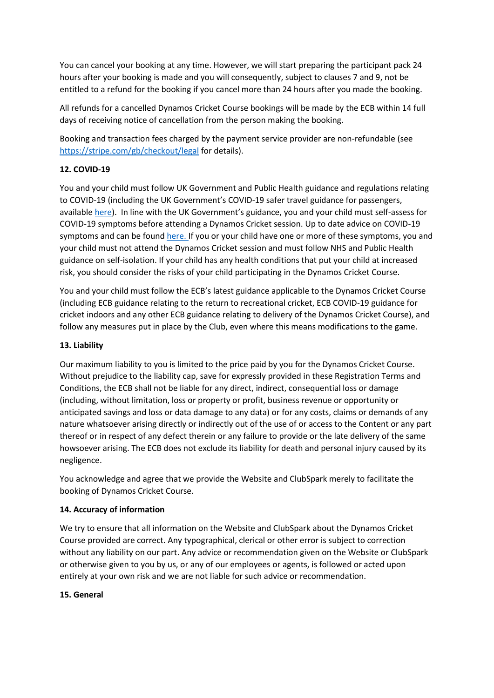You can cancel your booking at any time. However, we will start preparing the participant pack 24 hours after your booking is made and you will consequently, subject to clauses 7 and 9, not be entitled to a refund for the booking if you cancel more than 24 hours after you made the booking.

All refunds for a cancelled Dynamos Cricket Course bookings will be made by the ECB within 14 full days of receiving notice of cancellation from the person making the booking.

Booking and transaction fees charged by the payment service provider are non-refundable (see <https://stripe.com/gb/checkout/legal> for details).

# **12. COVID-19**

You and your child must follow UK Government and Public Health guidance and regulations relating to COVID-19 (including the UK Government's COVID-19 safer travel guidance for passengers, available [here](https://www.gov.uk/guidance/coronavirus-covid-19-safer-travel-guidance-for-passengers)). In line with the UK Government's guidance, you and your child must self-assess for COVID-19 symptoms before attending a Dynamos Cricket session. Up to date advice on COVID-19 symptoms and can be found [here.](https://www.nhs.uk/conditions/coronavirus-covid-19/) If you or your child have one or more of these symptoms, you and your child must not attend the Dynamos Cricket session and must follow NHS and Public Health guidance on self-isolation. If your child has any health conditions that put your child at increased risk, you should consider the risks of your child participating in the Dynamos Cricket Course.

You and your child must follow the ECB's latest guidance applicable to the Dynamos Cricket Course (including ECB guidance relating to the return to recreational cricket, ECB COVID-19 guidance for cricket indoors and any other ECB guidance relating to delivery of the Dynamos Cricket Course), and follow any measures put in place by the Club, even where this means modifications to the game.

## **13. Liability**

Our maximum liability to you is limited to the price paid by you for the Dynamos Cricket Course. Without prejudice to the liability cap, save for expressly provided in these Registration Terms and Conditions, the ECB shall not be liable for any direct, indirect, consequential loss or damage (including, without limitation, loss or property or profit, business revenue or opportunity or anticipated savings and loss or data damage to any data) or for any costs, claims or demands of any nature whatsoever arising directly or indirectly out of the use of or access to the Content or any part thereof or in respect of any defect therein or any failure to provide or the late delivery of the same howsoever arising. The ECB does not exclude its liability for death and personal injury caused by its negligence.

You acknowledge and agree that we provide the Website and ClubSpark merely to facilitate the booking of Dynamos Cricket Course.

## **14. Accuracy of information**

We try to ensure that all information on the Website and ClubSpark about the Dynamos Cricket Course provided are correct. Any typographical, clerical or other error is subject to correction without any liability on our part. Any advice or recommendation given on the Website or ClubSpark or otherwise given to you by us, or any of our employees or agents, is followed or acted upon entirely at your own risk and we are not liable for such advice or recommendation.

## **15. General**